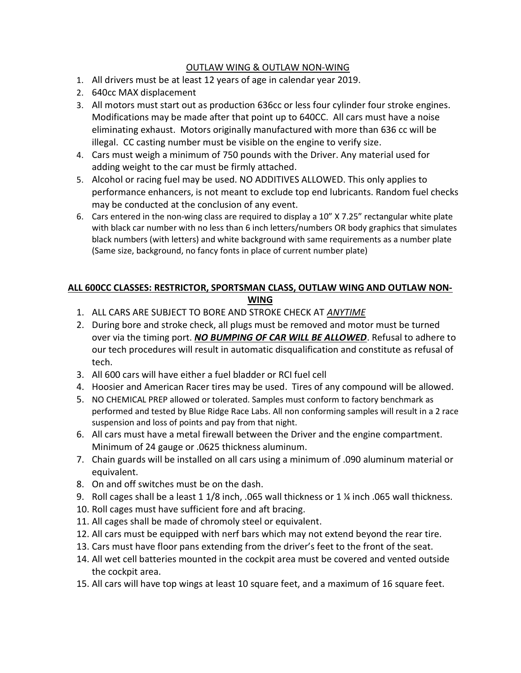## OUTLAW WING & OUTLAW NON-WING

- 1. All drivers must be at least 12 years of age in calendar year 2019.
- 2. 640cc MAX displacement
- 3. All motors must start out as production 636cc or less four cylinder four stroke engines. Modifications may be made after that point up to 640CC. All cars must have a noise eliminating exhaust. Motors originally manufactured with more than 636 cc will be illegal. CC casting number must be visible on the engine to verify size.
- 4. Cars must weigh a minimum of 750 pounds with the Driver. Any material used for adding weight to the car must be firmly attached.
- 5. Alcohol or racing fuel may be used. NO ADDITIVES ALLOWED. This only applies to performance enhancers, is not meant to exclude top end lubricants. Random fuel checks may be conducted at the conclusion of any event.
- 6. Cars entered in the non-wing class are required to display a 10" X 7.25" rectangular white plate with black car number with no less than 6 inch letters/numbers OR body graphics that simulates black numbers (with letters) and white background with same requirements as a number plate (Same size, background, no fancy fonts in place of current number plate)

## ALL 600CC CLASSES: RESTRICTOR, SPORTSMAN CLASS, OUTLAW WING AND OUTLAW NON-WING

- 1. ALL CARS ARE SUBJECT TO BORE AND STROKE CHECK AT ANYTIME
- 2. During bore and stroke check, all plugs must be removed and motor must be turned over via the timing port. NO BUMPING OF CAR WILL BE ALLOWED. Refusal to adhere to our tech procedures will result in automatic disqualification and constitute as refusal of tech.
- 3. All 600 cars will have either a fuel bladder or RCI fuel cell
- 4. Hoosier and American Racer tires may be used. Tires of any compound will be allowed.
- 5. NO CHEMICAL PREP allowed or tolerated. Samples must conform to factory benchmark as performed and tested by Blue Ridge Race Labs. All non conforming samples will result in a 2 race suspension and loss of points and pay from that night.
- 6. All cars must have a metal firewall between the Driver and the engine compartment. Minimum of 24 gauge or .0625 thickness aluminum.
- 7. Chain guards will be installed on all cars using a minimum of .090 aluminum material or equivalent.
- 8. On and off switches must be on the dash.
- 9. Roll cages shall be a least 1 1/8 inch, .065 wall thickness or 1 ¼ inch .065 wall thickness.
- 10. Roll cages must have sufficient fore and aft bracing.
- 11. All cages shall be made of chromoly steel or equivalent.
- 12. All cars must be equipped with nerf bars which may not extend beyond the rear tire.
- 13. Cars must have floor pans extending from the driver's feet to the front of the seat.
- 14. All wet cell batteries mounted in the cockpit area must be covered and vented outside the cockpit area.
- 15. All cars will have top wings at least 10 square feet, and a maximum of 16 square feet.